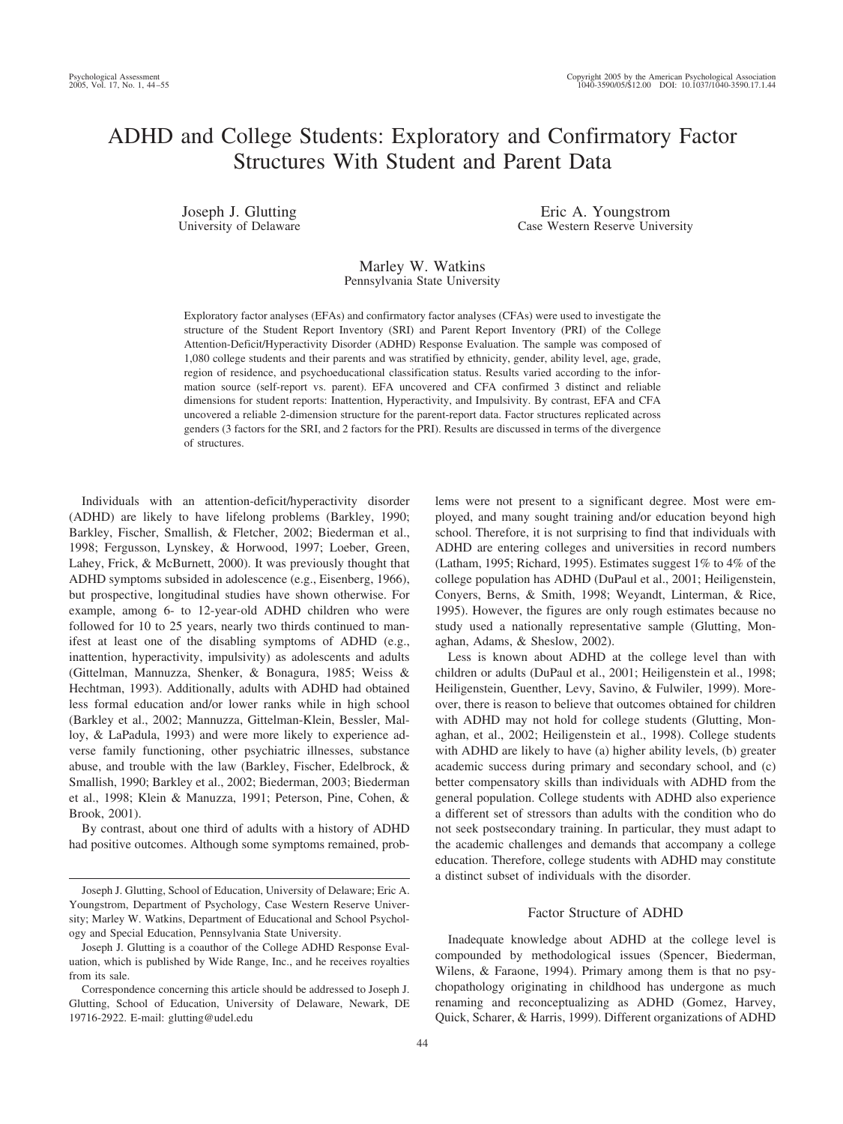# ADHD and College Students: Exploratory and Confirmatory Factor Structures With Student and Parent Data

Joseph J. Glutting University of Delaware

Eric A. Youngstrom Case Western Reserve University

## Marley W. Watkins Pennsylvania State University

Exploratory factor analyses (EFAs) and confirmatory factor analyses (CFAs) were used to investigate the structure of the Student Report Inventory (SRI) and Parent Report Inventory (PRI) of the College Attention-Deficit/Hyperactivity Disorder (ADHD) Response Evaluation. The sample was composed of 1,080 college students and their parents and was stratified by ethnicity, gender, ability level, age, grade, region of residence, and psychoeducational classification status. Results varied according to the information source (self-report vs. parent). EFA uncovered and CFA confirmed 3 distinct and reliable dimensions for student reports: Inattention, Hyperactivity, and Impulsivity. By contrast, EFA and CFA uncovered a reliable 2-dimension structure for the parent-report data. Factor structures replicated across genders (3 factors for the SRI, and 2 factors for the PRI). Results are discussed in terms of the divergence of structures.

Individuals with an attention-deficit/hyperactivity disorder (ADHD) are likely to have lifelong problems (Barkley, 1990; Barkley, Fischer, Smallish, & Fletcher, 2002; Biederman et al., 1998; Fergusson, Lynskey, & Horwood, 1997; Loeber, Green, Lahey, Frick, & McBurnett, 2000). It was previously thought that ADHD symptoms subsided in adolescence (e.g., Eisenberg, 1966), but prospective, longitudinal studies have shown otherwise. For example, among 6- to 12-year-old ADHD children who were followed for 10 to 25 years, nearly two thirds continued to manifest at least one of the disabling symptoms of ADHD (e.g., inattention, hyperactivity, impulsivity) as adolescents and adults (Gittelman, Mannuzza, Shenker, & Bonagura, 1985; Weiss & Hechtman, 1993). Additionally, adults with ADHD had obtained less formal education and/or lower ranks while in high school (Barkley et al., 2002; Mannuzza, Gittelman-Klein, Bessler, Malloy, & LaPadula, 1993) and were more likely to experience adverse family functioning, other psychiatric illnesses, substance abuse, and trouble with the law (Barkley, Fischer, Edelbrock, & Smallish, 1990; Barkley et al., 2002; Biederman, 2003; Biederman et al., 1998; Klein & Manuzza, 1991; Peterson, Pine, Cohen, & Brook, 2001).

By contrast, about one third of adults with a history of ADHD had positive outcomes. Although some symptoms remained, problems were not present to a significant degree. Most were employed, and many sought training and/or education beyond high school. Therefore, it is not surprising to find that individuals with ADHD are entering colleges and universities in record numbers (Latham, 1995; Richard, 1995). Estimates suggest 1% to 4% of the college population has ADHD (DuPaul et al., 2001; Heiligenstein, Conyers, Berns, & Smith, 1998; Weyandt, Linterman, & Rice, 1995). However, the figures are only rough estimates because no study used a nationally representative sample (Glutting, Monaghan, Adams, & Sheslow, 2002).

Less is known about ADHD at the college level than with children or adults (DuPaul et al., 2001; Heiligenstein et al., 1998; Heiligenstein, Guenther, Levy, Savino, & Fulwiler, 1999). Moreover, there is reason to believe that outcomes obtained for children with ADHD may not hold for college students (Glutting, Monaghan, et al., 2002; Heiligenstein et al., 1998). College students with ADHD are likely to have (a) higher ability levels, (b) greater academic success during primary and secondary school, and (c) better compensatory skills than individuals with ADHD from the general population. College students with ADHD also experience a different set of stressors than adults with the condition who do not seek postsecondary training. In particular, they must adapt to the academic challenges and demands that accompany a college education. Therefore, college students with ADHD may constitute a distinct subset of individuals with the disorder.

## Factor Structure of ADHD

Inadequate knowledge about ADHD at the college level is compounded by methodological issues (Spencer, Biederman, Wilens, & Faraone, 1994). Primary among them is that no psychopathology originating in childhood has undergone as much renaming and reconceptualizing as ADHD (Gomez, Harvey, Quick, Scharer, & Harris, 1999). Different organizations of ADHD

Joseph J. Glutting, School of Education, University of Delaware; Eric A. Youngstrom, Department of Psychology, Case Western Reserve University; Marley W. Watkins, Department of Educational and School Psychology and Special Education, Pennsylvania State University.

Joseph J. Glutting is a coauthor of the College ADHD Response Evaluation, which is published by Wide Range, Inc., and he receives royalties from its sale.

Correspondence concerning this article should be addressed to Joseph J. Glutting, School of Education, University of Delaware, Newark, DE 19716-2922. E-mail: glutting@udel.edu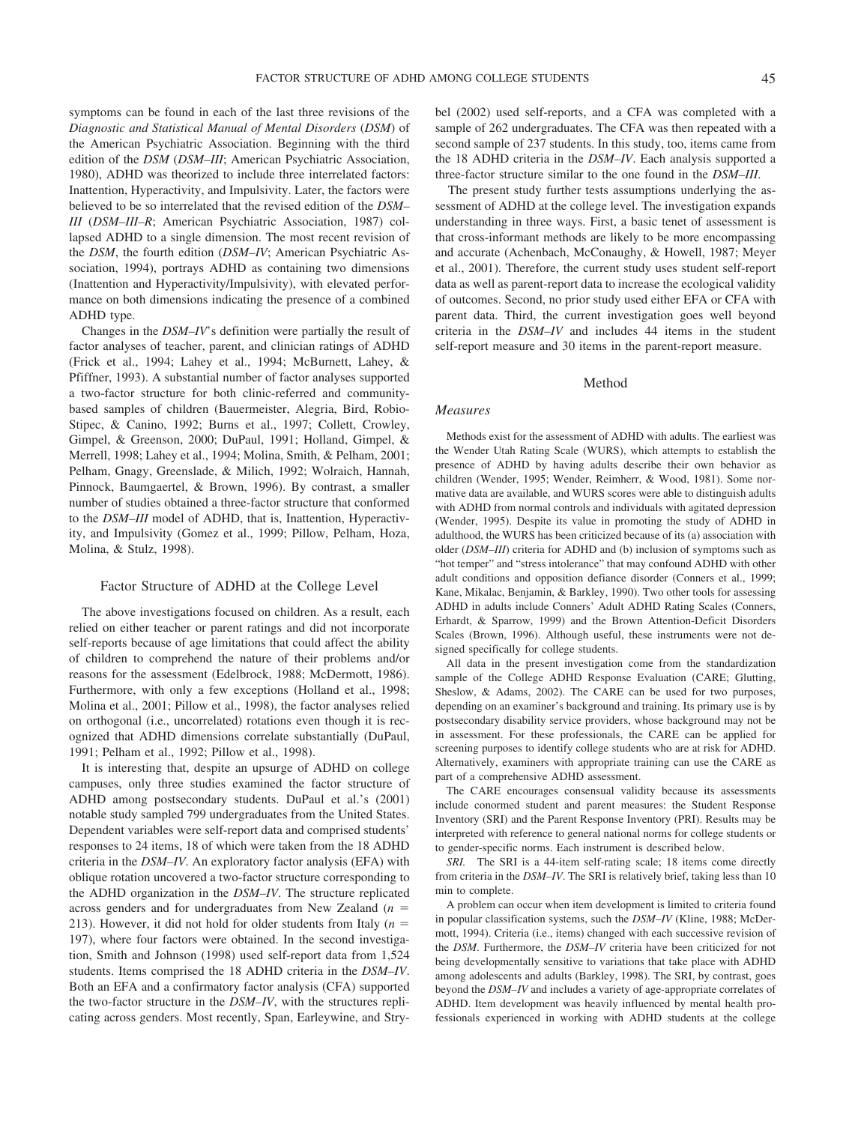symptoms can be found in each of the last three revisions of the *Diagnostic and Statistical Manual of Mental Disorders* (*DSM*) of the American Psychiatric Association. Beginning with the third edition of the *DSM* (*DSM–III*; American Psychiatric Association, 1980), ADHD was theorized to include three interrelated factors: Inattention, Hyperactivity, and Impulsivity. Later, the factors were believed to be so interrelated that the revised edition of the *DSM– III* (*DSM–III–R*; American Psychiatric Association, 1987) collapsed ADHD to a single dimension. The most recent revision of the *DSM*, the fourth edition (*DSM–IV*; American Psychiatric Association, 1994), portrays ADHD as containing two dimensions (Inattention and Hyperactivity/Impulsivity), with elevated performance on both dimensions indicating the presence of a combined ADHD type.

Changes in the *DSM–IV*'s definition were partially the result of factor analyses of teacher, parent, and clinician ratings of ADHD (Frick et al., 1994; Lahey et al., 1994; McBurnett, Lahey, & Pfiffner, 1993). A substantial number of factor analyses supported a two-factor structure for both clinic-referred and communitybased samples of children (Bauermeister, Alegria, Bird, Robio-Stipec, & Canino, 1992; Burns et al., 1997; Collett, Crowley, Gimpel, & Greenson, 2000; DuPaul, 1991; Holland, Gimpel, & Merrell, 1998; Lahey et al., 1994; Molina, Smith, & Pelham, 2001; Pelham, Gnagy, Greenslade, & Milich, 1992; Wolraich, Hannah, Pinnock, Baumgaertel, & Brown, 1996). By contrast, a smaller number of studies obtained a three-factor structure that conformed to the *DSM–III* model of ADHD, that is, Inattention, Hyperactivity, and Impulsivity (Gomez et al., 1999; Pillow, Pelham, Hoza, Molina, & Stulz, 1998).

## Factor Structure of ADHD at the College Level

The above investigations focused on children. As a result, each relied on either teacher or parent ratings and did not incorporate self-reports because of age limitations that could affect the ability of children to comprehend the nature of their problems and/or reasons for the assessment (Edelbrock, 1988; McDermott, 1986). Furthermore, with only a few exceptions (Holland et al., 1998; Molina et al., 2001; Pillow et al., 1998), the factor analyses relied on orthogonal (i.e., uncorrelated) rotations even though it is recognized that ADHD dimensions correlate substantially (DuPaul, 1991; Pelham et al., 1992; Pillow et al., 1998).

It is interesting that, despite an upsurge of ADHD on college campuses, only three studies examined the factor structure of ADHD among postsecondary students. DuPaul et al.'s (2001) notable study sampled 799 undergraduates from the United States. Dependent variables were self-report data and comprised students' responses to 24 items, 18 of which were taken from the 18 ADHD criteria in the *DSM–IV*. An exploratory factor analysis (EFA) with oblique rotation uncovered a two-factor structure corresponding to the ADHD organization in the *DSM–IV*. The structure replicated across genders and for undergraduates from New Zealand (*n* 213). However, it did not hold for older students from Italy (*n* 197), where four factors were obtained. In the second investigation, Smith and Johnson (1998) used self-report data from 1,524 students. Items comprised the 18 ADHD criteria in the *DSM–IV*. Both an EFA and a confirmatory factor analysis (CFA) supported the two-factor structure in the *DSM–IV*, with the structures replicating across genders. Most recently, Span, Earleywine, and Strybel (2002) used self-reports, and a CFA was completed with a sample of 262 undergraduates. The CFA was then repeated with a second sample of 237 students. In this study, too, items came from the 18 ADHD criteria in the *DSM–IV*. Each analysis supported a three-factor structure similar to the one found in the *DSM–III*.

The present study further tests assumptions underlying the assessment of ADHD at the college level. The investigation expands understanding in three ways. First, a basic tenet of assessment is that cross-informant methods are likely to be more encompassing and accurate (Achenbach, McConaughy, & Howell, 1987; Meyer et al., 2001). Therefore, the current study uses student self-report data as well as parent-report data to increase the ecological validity of outcomes. Second, no prior study used either EFA or CFA with parent data. Third, the current investigation goes well beyond criteria in the *DSM–IV* and includes 44 items in the student self-report measure and 30 items in the parent-report measure.

## Method

#### *Measures*

Methods exist for the assessment of ADHD with adults. The earliest was the Wender Utah Rating Scale (WURS), which attempts to establish the presence of ADHD by having adults describe their own behavior as children (Wender, 1995; Wender, Reimherr, & Wood, 1981). Some normative data are available, and WURS scores were able to distinguish adults with ADHD from normal controls and individuals with agitated depression (Wender, 1995). Despite its value in promoting the study of ADHD in adulthood, the WURS has been criticized because of its (a) association with older (*DSM–III*) criteria for ADHD and (b) inclusion of symptoms such as "hot temper" and "stress intolerance" that may confound ADHD with other adult conditions and opposition defiance disorder (Conners et al., 1999; Kane, Mikalac, Benjamin, & Barkley, 1990). Two other tools for assessing ADHD in adults include Conners' Adult ADHD Rating Scales (Conners, Erhardt, & Sparrow, 1999) and the Brown Attention-Deficit Disorders Scales (Brown, 1996). Although useful, these instruments were not designed specifically for college students.

All data in the present investigation come from the standardization sample of the College ADHD Response Evaluation (CARE; Glutting, Sheslow, & Adams, 2002). The CARE can be used for two purposes, depending on an examiner's background and training. Its primary use is by postsecondary disability service providers, whose background may not be in assessment. For these professionals, the CARE can be applied for screening purposes to identify college students who are at risk for ADHD. Alternatively, examiners with appropriate training can use the CARE as part of a comprehensive ADHD assessment.

The CARE encourages consensual validity because its assessments include conormed student and parent measures: the Student Response Inventory (SRI) and the Parent Response Inventory (PRI). Results may be interpreted with reference to general national norms for college students or to gender-specific norms. Each instrument is described below.

*SRI.* The SRI is a 44-item self-rating scale; 18 items come directly from criteria in the *DSM–IV*. The SRI is relatively brief, taking less than 10 min to complete.

A problem can occur when item development is limited to criteria found in popular classification systems, such the *DSM–IV* (Kline, 1988; McDermott, 1994). Criteria (i.e., items) changed with each successive revision of the *DSM*. Furthermore, the *DSM–IV* criteria have been criticized for not being developmentally sensitive to variations that take place with ADHD among adolescents and adults (Barkley, 1998). The SRI, by contrast, goes beyond the *DSM–IV* and includes a variety of age-appropriate correlates of ADHD. Item development was heavily influenced by mental health professionals experienced in working with ADHD students at the college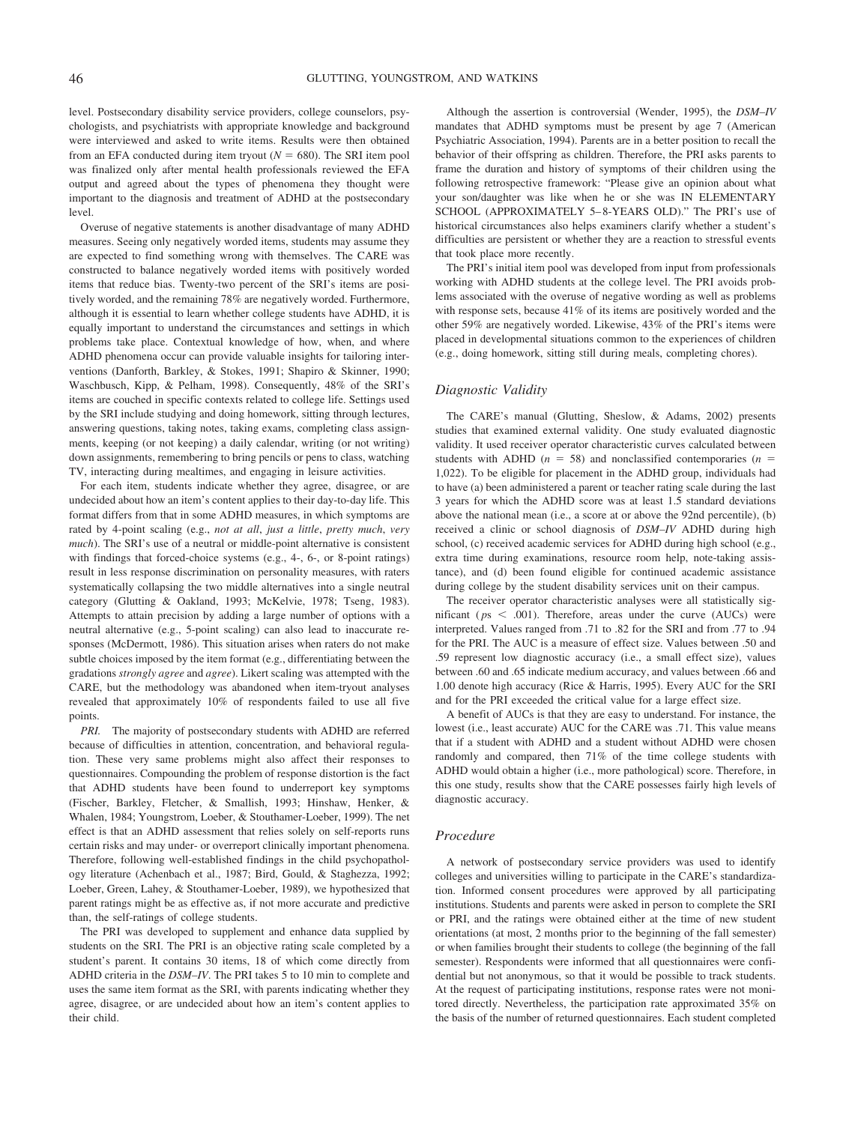level. Postsecondary disability service providers, college counselors, psychologists, and psychiatrists with appropriate knowledge and background were interviewed and asked to write items. Results were then obtained from an EFA conducted during item tryout  $(N = 680)$ . The SRI item pool was finalized only after mental health professionals reviewed the EFA output and agreed about the types of phenomena they thought were important to the diagnosis and treatment of ADHD at the postsecondary level.

Overuse of negative statements is another disadvantage of many ADHD measures. Seeing only negatively worded items, students may assume they are expected to find something wrong with themselves. The CARE was constructed to balance negatively worded items with positively worded items that reduce bias. Twenty-two percent of the SRI's items are positively worded, and the remaining 78% are negatively worded. Furthermore, although it is essential to learn whether college students have ADHD, it is equally important to understand the circumstances and settings in which problems take place. Contextual knowledge of how, when, and where ADHD phenomena occur can provide valuable insights for tailoring interventions (Danforth, Barkley, & Stokes, 1991; Shapiro & Skinner, 1990; Waschbusch, Kipp, & Pelham, 1998). Consequently, 48% of the SRI's items are couched in specific contexts related to college life. Settings used by the SRI include studying and doing homework, sitting through lectures, answering questions, taking notes, taking exams, completing class assignments, keeping (or not keeping) a daily calendar, writing (or not writing) down assignments, remembering to bring pencils or pens to class, watching TV, interacting during mealtimes, and engaging in leisure activities.

For each item, students indicate whether they agree, disagree, or are undecided about how an item's content applies to their day-to-day life. This format differs from that in some ADHD measures, in which symptoms are rated by 4-point scaling (e.g., *not at all*, *just a little*, *pretty much*, *very much*). The SRI's use of a neutral or middle-point alternative is consistent with findings that forced-choice systems (e.g., 4-, 6-, or 8-point ratings) result in less response discrimination on personality measures, with raters systematically collapsing the two middle alternatives into a single neutral category (Glutting & Oakland, 1993; McKelvie, 1978; Tseng, 1983). Attempts to attain precision by adding a large number of options with a neutral alternative (e.g., 5-point scaling) can also lead to inaccurate responses (McDermott, 1986). This situation arises when raters do not make subtle choices imposed by the item format (e.g., differentiating between the gradations *strongly agree* and *agree*). Likert scaling was attempted with the CARE, but the methodology was abandoned when item-tryout analyses revealed that approximately 10% of respondents failed to use all five points.

*PRI.* The majority of postsecondary students with ADHD are referred because of difficulties in attention, concentration, and behavioral regulation. These very same problems might also affect their responses to questionnaires. Compounding the problem of response distortion is the fact that ADHD students have been found to underreport key symptoms (Fischer, Barkley, Fletcher, & Smallish, 1993; Hinshaw, Henker, & Whalen, 1984; Youngstrom, Loeber, & Stouthamer-Loeber, 1999). The net effect is that an ADHD assessment that relies solely on self-reports runs certain risks and may under- or overreport clinically important phenomena. Therefore, following well-established findings in the child psychopathology literature (Achenbach et al., 1987; Bird, Gould, & Staghezza, 1992; Loeber, Green, Lahey, & Stouthamer-Loeber, 1989), we hypothesized that parent ratings might be as effective as, if not more accurate and predictive than, the self-ratings of college students.

The PRI was developed to supplement and enhance data supplied by students on the SRI. The PRI is an objective rating scale completed by a student's parent. It contains 30 items, 18 of which come directly from ADHD criteria in the *DSM–IV*. The PRI takes 5 to 10 min to complete and uses the same item format as the SRI, with parents indicating whether they agree, disagree, or are undecided about how an item's content applies to their child.

Although the assertion is controversial (Wender, 1995), the *DSM–IV* mandates that ADHD symptoms must be present by age 7 (American Psychiatric Association, 1994). Parents are in a better position to recall the behavior of their offspring as children. Therefore, the PRI asks parents to frame the duration and history of symptoms of their children using the following retrospective framework: "Please give an opinion about what your son/daughter was like when he or she was IN ELEMENTARY SCHOOL (APPROXIMATELY 5– 8-YEARS OLD)." The PRI's use of historical circumstances also helps examiners clarify whether a student's difficulties are persistent or whether they are a reaction to stressful events that took place more recently.

The PRI's initial item pool was developed from input from professionals working with ADHD students at the college level. The PRI avoids problems associated with the overuse of negative wording as well as problems with response sets, because 41% of its items are positively worded and the other 59% are negatively worded. Likewise, 43% of the PRI's items were placed in developmental situations common to the experiences of children (e.g., doing homework, sitting still during meals, completing chores).

## *Diagnostic Validity*

The CARE's manual (Glutting, Sheslow, & Adams, 2002) presents studies that examined external validity. One study evaluated diagnostic validity. It used receiver operator characteristic curves calculated between students with ADHD ( $n = 58$ ) and nonclassified contemporaries ( $n =$ 1,022). To be eligible for placement in the ADHD group, individuals had to have (a) been administered a parent or teacher rating scale during the last 3 years for which the ADHD score was at least 1.5 standard deviations above the national mean (i.e., a score at or above the 92nd percentile), (b) received a clinic or school diagnosis of *DSM–IV* ADHD during high school, (c) received academic services for ADHD during high school (e.g., extra time during examinations, resource room help, note-taking assistance), and (d) been found eligible for continued academic assistance during college by the student disability services unit on their campus.

The receiver operator characteristic analyses were all statistically significant ( $ps < .001$ ). Therefore, areas under the curve (AUCs) were interpreted. Values ranged from .71 to .82 for the SRI and from .77 to .94 for the PRI. The AUC is a measure of effect size. Values between .50 and .59 represent low diagnostic accuracy (i.e., a small effect size), values between .60 and .65 indicate medium accuracy, and values between .66 and 1.00 denote high accuracy (Rice & Harris, 1995). Every AUC for the SRI and for the PRI exceeded the critical value for a large effect size.

A benefit of AUCs is that they are easy to understand. For instance, the lowest (i.e., least accurate) AUC for the CARE was .71. This value means that if a student with ADHD and a student without ADHD were chosen randomly and compared, then 71% of the time college students with ADHD would obtain a higher (i.e., more pathological) score. Therefore, in this one study, results show that the CARE possesses fairly high levels of diagnostic accuracy.

## *Procedure*

A network of postsecondary service providers was used to identify colleges and universities willing to participate in the CARE's standardization. Informed consent procedures were approved by all participating institutions. Students and parents were asked in person to complete the SRI or PRI, and the ratings were obtained either at the time of new student orientations (at most, 2 months prior to the beginning of the fall semester) or when families brought their students to college (the beginning of the fall semester). Respondents were informed that all questionnaires were confidential but not anonymous, so that it would be possible to track students. At the request of participating institutions, response rates were not monitored directly. Nevertheless, the participation rate approximated 35% on the basis of the number of returned questionnaires. Each student completed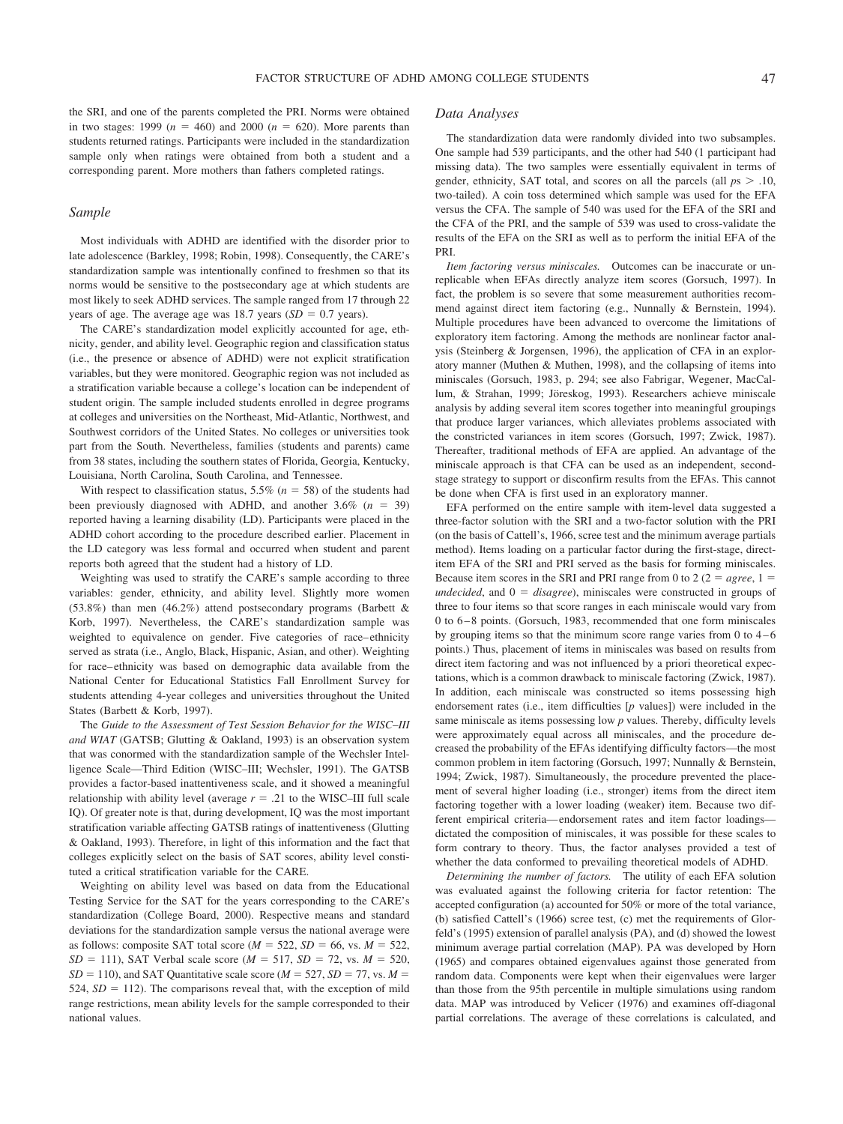the SRI, and one of the parents completed the PRI. Norms were obtained in two stages: 1999 ( $n = 460$ ) and 2000 ( $n = 620$ ). More parents than students returned ratings. Participants were included in the standardization sample only when ratings were obtained from both a student and a corresponding parent. More mothers than fathers completed ratings.

#### *Sample*

Most individuals with ADHD are identified with the disorder prior to late adolescence (Barkley, 1998; Robin, 1998). Consequently, the CARE's standardization sample was intentionally confined to freshmen so that its norms would be sensitive to the postsecondary age at which students are most likely to seek ADHD services. The sample ranged from 17 through 22 years of age. The average age was 18.7 years  $(SD = 0.7$  years).

The CARE's standardization model explicitly accounted for age, ethnicity, gender, and ability level. Geographic region and classification status (i.e., the presence or absence of ADHD) were not explicit stratification variables, but they were monitored. Geographic region was not included as a stratification variable because a college's location can be independent of student origin. The sample included students enrolled in degree programs at colleges and universities on the Northeast, Mid-Atlantic, Northwest, and Southwest corridors of the United States. No colleges or universities took part from the South. Nevertheless, families (students and parents) came from 38 states, including the southern states of Florida, Georgia, Kentucky, Louisiana, North Carolina, South Carolina, and Tennessee.

With respect to classification status,  $5.5\%$  ( $n = 58$ ) of the students had been previously diagnosed with ADHD, and another  $3.6\%$  ( $n = 39$ ) reported having a learning disability (LD). Participants were placed in the ADHD cohort according to the procedure described earlier. Placement in the LD category was less formal and occurred when student and parent reports both agreed that the student had a history of LD.

Weighting was used to stratify the CARE's sample according to three variables: gender, ethnicity, and ability level. Slightly more women (53.8%) than men (46.2%) attend postsecondary programs (Barbett & Korb, 1997). Nevertheless, the CARE's standardization sample was weighted to equivalence on gender. Five categories of race– ethnicity served as strata (i.e., Anglo, Black, Hispanic, Asian, and other). Weighting for race– ethnicity was based on demographic data available from the National Center for Educational Statistics Fall Enrollment Survey for students attending 4-year colleges and universities throughout the United States (Barbett & Korb, 1997).

The *Guide to the Assessment of Test Session Behavior for the WISC–III and WIAT* (GATSB; Glutting & Oakland, 1993) is an observation system that was conormed with the standardization sample of the Wechsler Intelligence Scale—Third Edition (WISC–III; Wechsler, 1991). The GATSB provides a factor-based inattentiveness scale, and it showed a meaningful relationship with ability level (average  $r = .21$  to the WISC–III full scale IQ). Of greater note is that, during development, IQ was the most important stratification variable affecting GATSB ratings of inattentiveness (Glutting & Oakland, 1993). Therefore, in light of this information and the fact that colleges explicitly select on the basis of SAT scores, ability level constituted a critical stratification variable for the CARE.

Weighting on ability level was based on data from the Educational Testing Service for the SAT for the years corresponding to the CARE's standardization (College Board, 2000). Respective means and standard deviations for the standardization sample versus the national average were as follows: composite SAT total score ( $M = 522$ ,  $SD = 66$ , vs.  $M = 522$ ,  $SD = 111$ , SAT Verbal scale score ( $M = 517$ ,  $SD = 72$ , vs.  $M = 520$ ,  $SD = 110$ ), and SAT Quantitative scale score ( $M = 527$ ,  $SD = 77$ , vs.  $M =$ 524,  $SD = 112$ ). The comparisons reveal that, with the exception of mild range restrictions, mean ability levels for the sample corresponded to their national values.

#### *Data Analyses*

The standardization data were randomly divided into two subsamples. One sample had 539 participants, and the other had 540 (1 participant had missing data). The two samples were essentially equivalent in terms of gender, ethnicity, SAT total, and scores on all the parcels (all  $ps > .10$ , two-tailed). A coin toss determined which sample was used for the EFA versus the CFA. The sample of 540 was used for the EFA of the SRI and the CFA of the PRI, and the sample of 539 was used to cross-validate the results of the EFA on the SRI as well as to perform the initial EFA of the PRI.

*Item factoring versus miniscales.* Outcomes can be inaccurate or unreplicable when EFAs directly analyze item scores (Gorsuch, 1997). In fact, the problem is so severe that some measurement authorities recommend against direct item factoring (e.g., Nunnally & Bernstein, 1994). Multiple procedures have been advanced to overcome the limitations of exploratory item factoring. Among the methods are nonlinear factor analysis (Steinberg & Jorgensen, 1996), the application of CFA in an exploratory manner (Muthen & Muthen, 1998), and the collapsing of items into miniscales (Gorsuch, 1983, p. 294; see also Fabrigar, Wegener, MacCallum, & Strahan, 1999; Jöreskog, 1993). Researchers achieve miniscale analysis by adding several item scores together into meaningful groupings that produce larger variances, which alleviates problems associated with the constricted variances in item scores (Gorsuch, 1997; Zwick, 1987). Thereafter, traditional methods of EFA are applied. An advantage of the miniscale approach is that CFA can be used as an independent, secondstage strategy to support or disconfirm results from the EFAs. This cannot be done when CFA is first used in an exploratory manner.

EFA performed on the entire sample with item-level data suggested a three-factor solution with the SRI and a two-factor solution with the PRI (on the basis of Cattell's, 1966, scree test and the minimum average partials method). Items loading on a particular factor during the first-stage, directitem EFA of the SRI and PRI served as the basis for forming miniscales. Because item scores in the SRI and PRI range from 0 to 2 ( $2 = agree, 1 =$ *undecided*, and  $0 = disagree$ ), miniscales were constructed in groups of three to four items so that score ranges in each miniscale would vary from 0 to 6–8 points. (Gorsuch, 1983, recommended that one form miniscales by grouping items so that the minimum score range varies from  $0$  to  $4 - 6$ points.) Thus, placement of items in miniscales was based on results from direct item factoring and was not influenced by a priori theoretical expectations, which is a common drawback to miniscale factoring (Zwick, 1987). In addition, each miniscale was constructed so items possessing high endorsement rates (i.e., item difficulties [*p* values]) were included in the same miniscale as items possessing low *p* values. Thereby, difficulty levels were approximately equal across all miniscales, and the procedure decreased the probability of the EFAs identifying difficulty factors—the most common problem in item factoring (Gorsuch, 1997; Nunnally & Bernstein, 1994; Zwick, 1987). Simultaneously, the procedure prevented the placement of several higher loading (i.e., stronger) items from the direct item factoring together with a lower loading (weaker) item. Because two different empirical criteria— endorsement rates and item factor loadings dictated the composition of miniscales, it was possible for these scales to form contrary to theory. Thus, the factor analyses provided a test of whether the data conformed to prevailing theoretical models of ADHD.

*Determining the number of factors.* The utility of each EFA solution was evaluated against the following criteria for factor retention: The accepted configuration (a) accounted for 50% or more of the total variance, (b) satisfied Cattell's (1966) scree test, (c) met the requirements of Glorfeld's (1995) extension of parallel analysis (PA), and (d) showed the lowest minimum average partial correlation (MAP). PA was developed by Horn (1965) and compares obtained eigenvalues against those generated from random data. Components were kept when their eigenvalues were larger than those from the 95th percentile in multiple simulations using random data. MAP was introduced by Velicer (1976) and examines off-diagonal partial correlations. The average of these correlations is calculated, and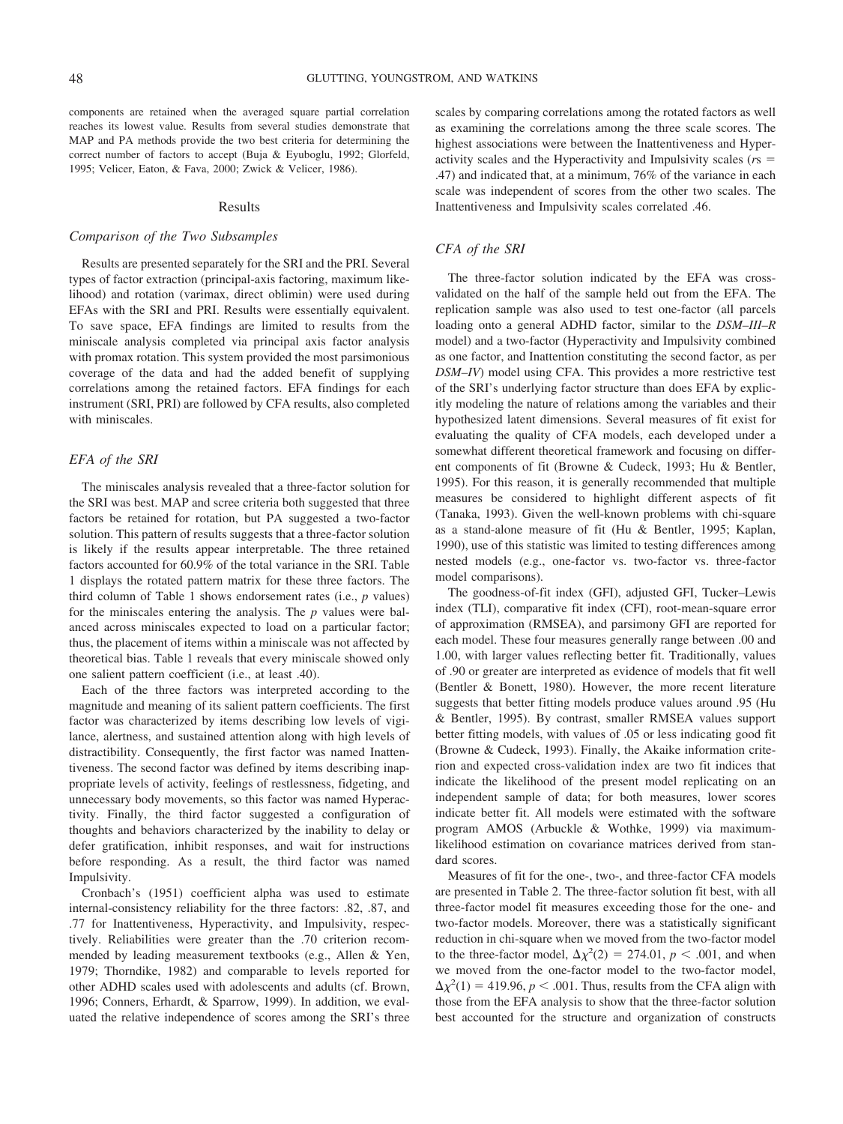components are retained when the averaged square partial correlation reaches its lowest value. Results from several studies demonstrate that MAP and PA methods provide the two best criteria for determining the correct number of factors to accept (Buja & Eyuboglu, 1992; Glorfeld, 1995; Velicer, Eaton, & Fava, 2000; Zwick & Velicer, 1986).

#### Results

## *Comparison of the Two Subsamples*

Results are presented separately for the SRI and the PRI. Several types of factor extraction (principal-axis factoring, maximum likelihood) and rotation (varimax, direct oblimin) were used during EFAs with the SRI and PRI. Results were essentially equivalent. To save space, EFA findings are limited to results from the miniscale analysis completed via principal axis factor analysis with promax rotation. This system provided the most parsimonious coverage of the data and had the added benefit of supplying correlations among the retained factors. EFA findings for each instrument (SRI, PRI) are followed by CFA results, also completed with miniscales.

## *EFA of the SRI*

The miniscales analysis revealed that a three-factor solution for the SRI was best. MAP and scree criteria both suggested that three factors be retained for rotation, but PA suggested a two-factor solution. This pattern of results suggests that a three-factor solution is likely if the results appear interpretable. The three retained factors accounted for 60.9% of the total variance in the SRI. Table 1 displays the rotated pattern matrix for these three factors. The third column of Table 1 shows endorsement rates (i.e., *p* values) for the miniscales entering the analysis. The *p* values were balanced across miniscales expected to load on a particular factor; thus, the placement of items within a miniscale was not affected by theoretical bias. Table 1 reveals that every miniscale showed only one salient pattern coefficient (i.e., at least .40).

Each of the three factors was interpreted according to the magnitude and meaning of its salient pattern coefficients. The first factor was characterized by items describing low levels of vigilance, alertness, and sustained attention along with high levels of distractibility. Consequently, the first factor was named Inattentiveness. The second factor was defined by items describing inappropriate levels of activity, feelings of restlessness, fidgeting, and unnecessary body movements, so this factor was named Hyperactivity. Finally, the third factor suggested a configuration of thoughts and behaviors characterized by the inability to delay or defer gratification, inhibit responses, and wait for instructions before responding. As a result, the third factor was named Impulsivity.

Cronbach's (1951) coefficient alpha was used to estimate internal-consistency reliability for the three factors: .82, .87, and .77 for Inattentiveness, Hyperactivity, and Impulsivity, respectively. Reliabilities were greater than the .70 criterion recommended by leading measurement textbooks (e.g., Allen & Yen, 1979; Thorndike, 1982) and comparable to levels reported for other ADHD scales used with adolescents and adults (cf. Brown, 1996; Conners, Erhardt, & Sparrow, 1999). In addition, we evaluated the relative independence of scores among the SRI's three scales by comparing correlations among the rotated factors as well as examining the correlations among the three scale scores. The highest associations were between the Inattentiveness and Hyperactivity scales and the Hyperactivity and Impulsivity scales (*r*s .47) and indicated that, at a minimum, 76% of the variance in each scale was independent of scores from the other two scales. The Inattentiveness and Impulsivity scales correlated .46.

## *CFA of the SRI*

The three-factor solution indicated by the EFA was crossvalidated on the half of the sample held out from the EFA. The replication sample was also used to test one-factor (all parcels loading onto a general ADHD factor, similar to the *DSM–III–R* model) and a two-factor (Hyperactivity and Impulsivity combined as one factor, and Inattention constituting the second factor, as per *DSM–IV*) model using CFA. This provides a more restrictive test of the SRI's underlying factor structure than does EFA by explicitly modeling the nature of relations among the variables and their hypothesized latent dimensions. Several measures of fit exist for evaluating the quality of CFA models, each developed under a somewhat different theoretical framework and focusing on different components of fit (Browne & Cudeck, 1993; Hu & Bentler, 1995). For this reason, it is generally recommended that multiple measures be considered to highlight different aspects of fit (Tanaka, 1993). Given the well-known problems with chi-square as a stand-alone measure of fit (Hu & Bentler, 1995; Kaplan, 1990), use of this statistic was limited to testing differences among nested models (e.g., one-factor vs. two-factor vs. three-factor model comparisons).

The goodness-of-fit index (GFI), adjusted GFI, Tucker–Lewis index (TLI), comparative fit index (CFI), root-mean-square error of approximation (RMSEA), and parsimony GFI are reported for each model. These four measures generally range between .00 and 1.00, with larger values reflecting better fit. Traditionally, values of .90 or greater are interpreted as evidence of models that fit well (Bentler & Bonett, 1980). However, the more recent literature suggests that better fitting models produce values around .95 (Hu & Bentler, 1995). By contrast, smaller RMSEA values support better fitting models, with values of .05 or less indicating good fit (Browne & Cudeck, 1993). Finally, the Akaike information criterion and expected cross-validation index are two fit indices that indicate the likelihood of the present model replicating on an independent sample of data; for both measures, lower scores indicate better fit. All models were estimated with the software program AMOS (Arbuckle & Wothke, 1999) via maximumlikelihood estimation on covariance matrices derived from standard scores.

Measures of fit for the one-, two-, and three-factor CFA models are presented in Table 2. The three-factor solution fit best, with all three-factor model fit measures exceeding those for the one- and two-factor models. Moreover, there was a statistically significant reduction in chi-square when we moved from the two-factor model to the three-factor model,  $\Delta \chi^2(2) = 274.01$ ,  $p < .001$ , and when we moved from the one-factor model to the two-factor model,  $\Delta \chi^2(1) = 419.96, p < .001$ . Thus, results from the CFA align with those from the EFA analysis to show that the three-factor solution best accounted for the structure and organization of constructs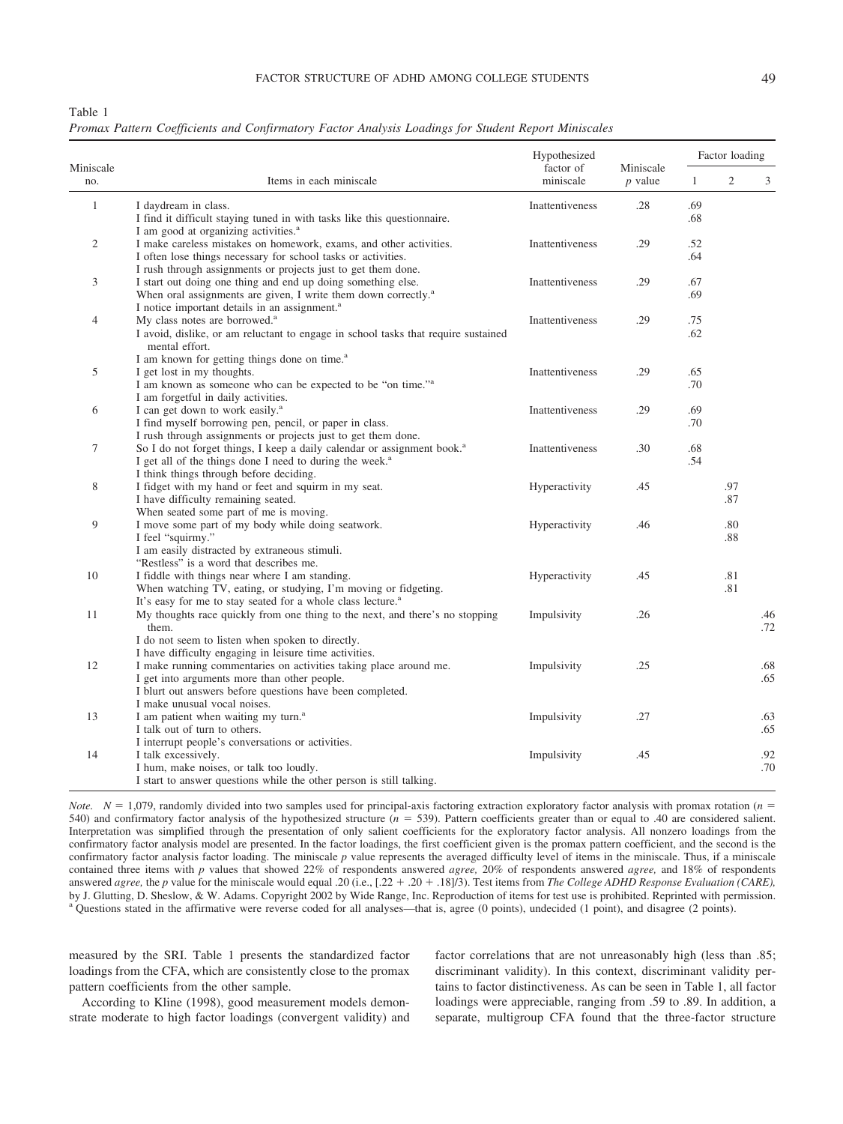| Table 1 |  |                                                                                                     |  |  |  |  |
|---------|--|-----------------------------------------------------------------------------------------------------|--|--|--|--|
|         |  | Promax Pattern Coefficients and Confirmatory Factor Analysis Loadings for Student Report Miniscales |  |  |  |  |

|                  |                                                                                                                                                         | Hypothesized           |                        | Factor loading |                |            |
|------------------|---------------------------------------------------------------------------------------------------------------------------------------------------------|------------------------|------------------------|----------------|----------------|------------|
| Miniscale<br>no. | Items in each miniscale                                                                                                                                 | factor of<br>miniscale | Miniscale<br>$p$ value | $\mathbf{1}$   | $\overline{2}$ | 3          |
| $\mathbf{1}$     | I daydream in class.                                                                                                                                    | Inattentiveness        | .28                    | .69            |                |            |
|                  | I find it difficult staying tuned in with tasks like this questionnaire.<br>I am good at organizing activities. <sup>a</sup>                            |                        |                        | .68            |                |            |
| $\mathfrak{2}$   | I make careless mistakes on homework, exams, and other activities.                                                                                      | Inattentiveness        | .29                    | .52            |                |            |
|                  | I often lose things necessary for school tasks or activities.                                                                                           |                        |                        | .64            |                |            |
|                  | I rush through assignments or projects just to get them done.                                                                                           |                        |                        |                |                |            |
| 3                | I start out doing one thing and end up doing something else.                                                                                            | Inattentiveness        | .29                    | .67            |                |            |
|                  | When oral assignments are given, I write them down correctly. <sup>a</sup>                                                                              |                        |                        | .69            |                |            |
|                  | I notice important details in an assignment. <sup>a</sup>                                                                                               |                        |                        |                |                |            |
| $\overline{4}$   | My class notes are borrowed. <sup>a</sup>                                                                                                               | Inattentiveness        | .29                    | .75            |                |            |
|                  | I avoid, dislike, or am reluctant to engage in school tasks that require sustained                                                                      |                        |                        | .62            |                |            |
|                  | mental effort.                                                                                                                                          |                        |                        |                |                |            |
|                  | I am known for getting things done on time. <sup>a</sup>                                                                                                |                        |                        |                |                |            |
| 5                | I get lost in my thoughts.                                                                                                                              | Inattentiveness        | .29                    | .65            |                |            |
|                  | I am known as someone who can be expected to be "on time." <sup>a</sup>                                                                                 |                        |                        | .70            |                |            |
|                  | I am forgetful in daily activities.                                                                                                                     |                        |                        |                |                |            |
| 6                | I can get down to work easily. <sup>a</sup>                                                                                                             | Inattentiveness        | .29                    | .69            |                |            |
|                  | I find myself borrowing pen, pencil, or paper in class.                                                                                                 |                        |                        | .70            |                |            |
|                  | I rush through assignments or projects just to get them done.                                                                                           |                        |                        |                |                |            |
| $\tau$           | So I do not forget things, I keep a daily calendar or assignment book. <sup>a</sup>                                                                     | Inattentiveness        | .30                    | .68            |                |            |
|                  | I get all of the things done I need to during the week. <sup>a</sup>                                                                                    |                        |                        | .54            |                |            |
|                  | I think things through before deciding.                                                                                                                 |                        |                        |                |                |            |
| 8                | I fidget with my hand or feet and squirm in my seat.                                                                                                    | Hyperactivity          | .45                    |                | .97            |            |
|                  | I have difficulty remaining seated.                                                                                                                     |                        |                        |                | .87            |            |
|                  | When seated some part of me is moving.                                                                                                                  |                        |                        |                |                |            |
| 9                | I move some part of my body while doing seatwork.                                                                                                       | Hyperactivity          | .46                    |                | .80            |            |
|                  | I feel "squirmy."                                                                                                                                       |                        |                        |                | .88            |            |
|                  | I am easily distracted by extraneous stimuli.                                                                                                           |                        |                        |                |                |            |
|                  | "Restless" is a word that describes me.                                                                                                                 |                        |                        |                |                |            |
| 10               | I fiddle with things near where I am standing.                                                                                                          | Hyperactivity          | .45                    |                | .81            |            |
|                  | When watching TV, eating, or studying, I'm moving or fidgeting.                                                                                         |                        |                        |                | .81            |            |
| 11               | It's easy for me to stay seated for a whole class lecture. <sup>a</sup><br>My thoughts race quickly from one thing to the next, and there's no stopping |                        | .26                    |                |                |            |
|                  | them.                                                                                                                                                   | Impulsivity            |                        |                |                | .46<br>.72 |
|                  | I do not seem to listen when spoken to directly.                                                                                                        |                        |                        |                |                |            |
|                  | I have difficulty engaging in leisure time activities.                                                                                                  |                        |                        |                |                |            |
| 12               | I make running commentaries on activities taking place around me.                                                                                       | Impulsivity            | .25                    |                |                | .68        |
|                  | I get into arguments more than other people.                                                                                                            |                        |                        |                |                | .65        |
|                  | I blurt out answers before questions have been completed.                                                                                               |                        |                        |                |                |            |
|                  | I make unusual vocal noises.                                                                                                                            |                        |                        |                |                |            |
| 13               | I am patient when waiting my turn. <sup>a</sup>                                                                                                         | Impulsivity            | .27                    |                |                | .63        |
|                  | I talk out of turn to others.                                                                                                                           |                        |                        |                |                | .65        |
|                  | I interrupt people's conversations or activities.                                                                                                       |                        |                        |                |                |            |
| 14               | I talk excessively.                                                                                                                                     | Impulsivity            | .45                    |                |                | .92        |
|                  | I hum, make noises, or talk too loudly.                                                                                                                 |                        |                        |                |                | .70        |
|                  | I start to answer questions while the other person is still talking.                                                                                    |                        |                        |                |                |            |

*Note.*  $N = 1.079$ , randomly divided into two samples used for principal-axis factoring extraction exploratory factor analysis with promax rotation ( $n =$ 540) and confirmatory factor analysis of the hypothesized structure (*n* 539). Pattern coefficients greater than or equal to .40 are considered salient. Interpretation was simplified through the presentation of only salient coefficients for the exploratory factor analysis. All nonzero loadings from the confirmatory factor analysis model are presented. In the factor loadings, the first coefficient given is the promax pattern coefficient, and the second is the confirmatory factor analysis factor loading. The miniscale *p* value represents the averaged difficulty level of items in the miniscale. Thus, if a miniscale contained three items with *p* values that showed 22% of respondents answered *agree,* 20% of respondents answered *agree,* and 18% of respondents answered *agree*, the *p* value for the miniscale would equal .20 (i.e., [.22 + .20 + .18]/3). Test items from *The College ADHD Response Evaluation (CARE)*, by J. Glutting, D. Sheslow, & W. Adams. Copyright 2002 by Wide Range, Inc. Reproduction of items for test use is prohibited. Reprinted with permission. <sup>a</sup> Questions stated in the affirmative were reverse coded for all analyses—that is, agree (0 points), undecided (1 point), and disagree (2 points).

measured by the SRI. Table 1 presents the standardized factor loadings from the CFA, which are consistently close to the promax pattern coefficients from the other sample.

According to Kline (1998), good measurement models demonstrate moderate to high factor loadings (convergent validity) and factor correlations that are not unreasonably high (less than .85; discriminant validity). In this context, discriminant validity pertains to factor distinctiveness. As can be seen in Table 1, all factor loadings were appreciable, ranging from .59 to .89. In addition, a separate, multigroup CFA found that the three-factor structure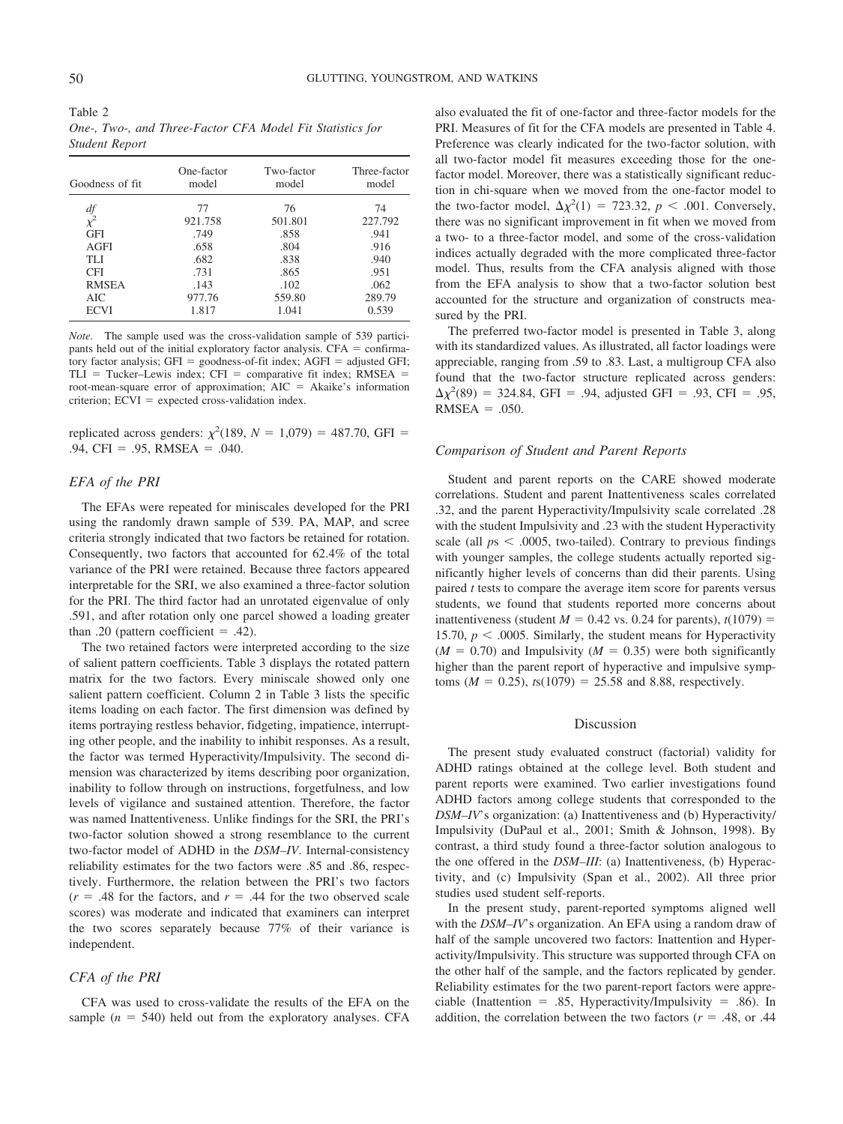| Goodness of fit. | One-factor<br>model | Two-factor<br>model | Three-factor<br>model |  |  |
|------------------|---------------------|---------------------|-----------------------|--|--|
|                  | 77                  | 76                  | 74                    |  |  |
| $\frac{df}{x^2}$ | 921.758             | 501.801             | 227.792               |  |  |
| GFI              | .749                | .858                | .941                  |  |  |
| <b>AGFI</b>      | .658                | .804                | .916                  |  |  |
| TLI              | .682                | .838                | .940                  |  |  |
| <b>CFI</b>       | .731                | .865                | .951                  |  |  |
| <b>RMSEA</b>     | .143                | .102                | .062                  |  |  |
| AIC              | 977.76              | 559.80              | 289.79                |  |  |
| <b>ECVI</b>      | 1.817               | 1.041               | 0.539                 |  |  |

*Note.* The sample used was the cross-validation sample of 539 participants held out of the initial exploratory factor analysis.  $CFA = \text{confirma-}$ tory factor analysis;  $GFI = goodness-of-fit index$ ;  $AGFI = adjusted GFI$ ;  $TLI$  = Tucker–Lewis index; CFI = comparative fit index; RMSEA = root-mean-square error of approximation; AIC = Akaike's information criterion;  $ECVI$  = expected cross-validation index.

replicated across genders:  $\chi^2(189, N = 1,079) = 487.70, \text{ GFI} =$  $.94$ , CFI =  $.95$ , RMSEA =  $.040$ .

## *EFA of the PRI*

The EFAs were repeated for miniscales developed for the PRI using the randomly drawn sample of 539. PA, MAP, and scree criteria strongly indicated that two factors be retained for rotation. Consequently, two factors that accounted for 62.4% of the total variance of the PRI were retained. Because three factors appeared interpretable for the SRI, we also examined a three-factor solution for the PRI. The third factor had an unrotated eigenvalue of only .591, and after rotation only one parcel showed a loading greater than .20 (pattern coefficient  $= .42$ ).

The two retained factors were interpreted according to the size of salient pattern coefficients. Table 3 displays the rotated pattern matrix for the two factors. Every miniscale showed only one salient pattern coefficient. Column 2 in Table 3 lists the specific items loading on each factor. The first dimension was defined by items portraying restless behavior, fidgeting, impatience, interrupting other people, and the inability to inhibit responses. As a result, the factor was termed Hyperactivity/Impulsivity. The second dimension was characterized by items describing poor organization, inability to follow through on instructions, forgetfulness, and low levels of vigilance and sustained attention. Therefore, the factor was named Inattentiveness. Unlike findings for the SRI, the PRI's two-factor solution showed a strong resemblance to the current two-factor model of ADHD in the *DSM–IV*. Internal-consistency reliability estimates for the two factors were .85 and .86, respectively. Furthermore, the relation between the PRI's two factors  $(r = .48$  for the factors, and  $r = .44$  for the two observed scale scores) was moderate and indicated that examiners can interpret the two scores separately because 77% of their variance is independent.

## *CFA of the PRI*

CFA was used to cross-validate the results of the EFA on the sample  $(n = 540)$  held out from the exploratory analyses. CFA

also evaluated the fit of one-factor and three-factor models for the PRI. Measures of fit for the CFA models are presented in Table 4. Preference was clearly indicated for the two-factor solution, with all two-factor model fit measures exceeding those for the onefactor model. Moreover, there was a statistically significant reduction in chi-square when we moved from the one-factor model to the two-factor model,  $\Delta \chi^2(1) = 723.32, p < .001$ . Conversely, there was no significant improvement in fit when we moved from a two- to a three-factor model, and some of the cross-validation indices actually degraded with the more complicated three-factor model. Thus, results from the CFA analysis aligned with those from the EFA analysis to show that a two-factor solution best accounted for the structure and organization of constructs measured by the PRI.

The preferred two-factor model is presented in Table 3, along with its standardized values. As illustrated, all factor loadings were appreciable, ranging from .59 to .83. Last, a multigroup CFA also found that the two-factor structure replicated across genders:  $\Delta \chi^2(89) = 324.84$ , GFI = .94, adjusted GFI = .93, CFI = .95,  $RMSEA = .050$ .

## *Comparison of Student and Parent Reports*

Student and parent reports on the CARE showed moderate correlations. Student and parent Inattentiveness scales correlated .32, and the parent Hyperactivity/Impulsivity scale correlated .28 with the student Impulsivity and .23 with the student Hyperactivity scale (all  $ps < .0005$ , two-tailed). Contrary to previous findings with younger samples, the college students actually reported significantly higher levels of concerns than did their parents. Using paired *t* tests to compare the average item score for parents versus students, we found that students reported more concerns about inattentiveness (student  $M = 0.42$  vs. 0.24 for parents),  $t(1079) =$ 15.70,  $p < .0005$ . Similarly, the student means for Hyperactivity  $(M = 0.70)$  and Impulsivity  $(M = 0.35)$  were both significantly higher than the parent report of hyperactive and impulsive symptoms  $(M = 0.25)$ ,  $t s(1079) = 25.58$  and 8.88, respectively.

### Discussion

The present study evaluated construct (factorial) validity for ADHD ratings obtained at the college level. Both student and parent reports were examined. Two earlier investigations found ADHD factors among college students that corresponded to the *DSM–IV*'s organization: (a) Inattentiveness and (b) Hyperactivity/ Impulsivity (DuPaul et al., 2001; Smith & Johnson, 1998). By contrast, a third study found a three-factor solution analogous to the one offered in the *DSM–III*: (a) Inattentiveness, (b) Hyperactivity, and (c) Impulsivity (Span et al., 2002). All three prior studies used student self-reports.

In the present study, parent-reported symptoms aligned well with the *DSM–IV*'s organization. An EFA using a random draw of half of the sample uncovered two factors: Inattention and Hyperactivity/Impulsivity. This structure was supported through CFA on the other half of the sample, and the factors replicated by gender. Reliability estimates for the two parent-report factors were appreciable (Inattention = .85, Hyperactivity/Impulsivity = .86). In addition, the correlation between the two factors ( $r = .48$ , or .44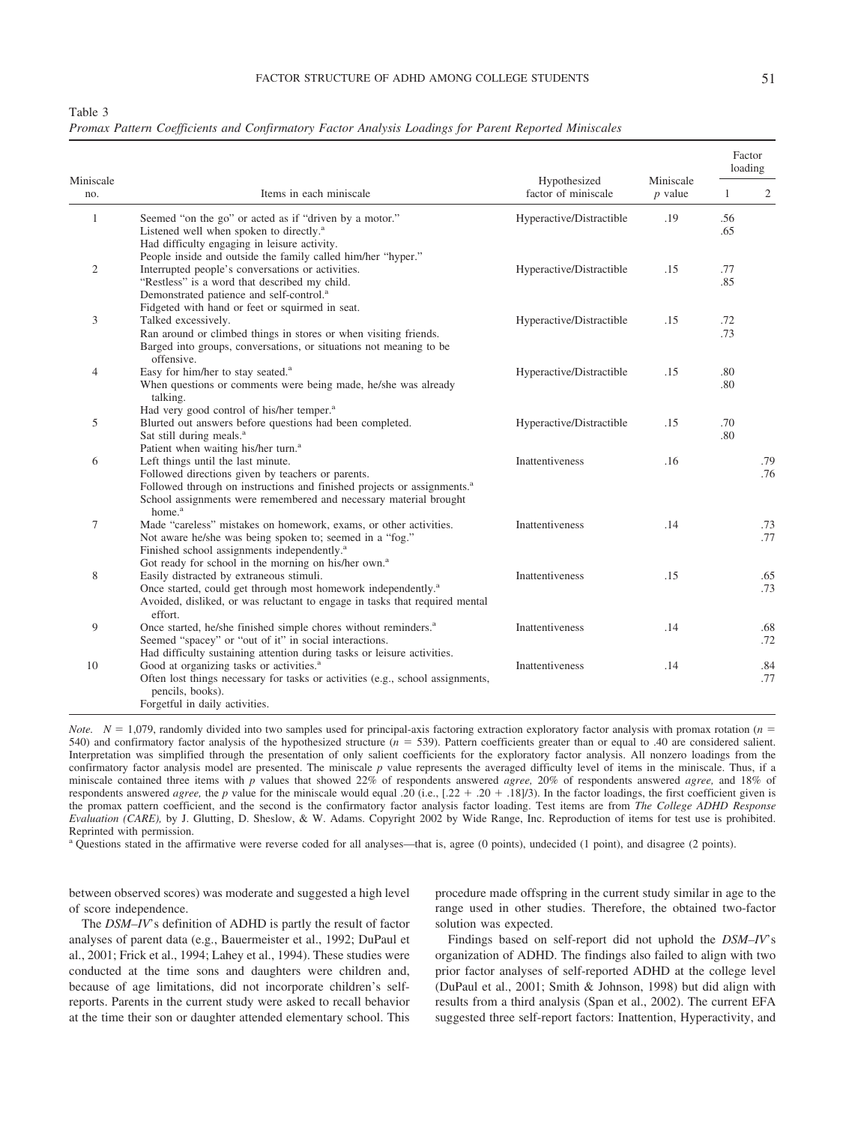| Table 3                                                                                              |  |  |  |  |  |
|------------------------------------------------------------------------------------------------------|--|--|--|--|--|
| Promax Pattern Coefficients and Confirmatory Factor Analysis Loadings for Parent Reported Miniscales |  |  |  |  |  |

|                  |                                                                                                                                                                                                                                                                               |                                     |                        | Factor<br>loading |                |
|------------------|-------------------------------------------------------------------------------------------------------------------------------------------------------------------------------------------------------------------------------------------------------------------------------|-------------------------------------|------------------------|-------------------|----------------|
| Miniscale<br>no. | Items in each miniscale                                                                                                                                                                                                                                                       | Hypothesized<br>factor of miniscale | Miniscale<br>$p$ value | $\mathbf{1}$      | $\overline{c}$ |
| 1                | Seemed "on the go" or acted as if "driven by a motor."<br>Listened well when spoken to directly. <sup>a</sup><br>Had difficulty engaging in leisure activity.                                                                                                                 | Hyperactive/Distractible            | .19                    | .56<br>.65        |                |
| $\overline{2}$   | People inside and outside the family called him/her "hyper."<br>Interrupted people's conversations or activities.<br>"Restless" is a word that described my child.<br>Demonstrated patience and self-control. <sup>a</sup><br>Fidgeted with hand or feet or squirmed in seat. | Hyperactive/Distractible            | .15                    | .77<br>.85        |                |
| 3                | Talked excessively.<br>Ran around or climbed things in stores or when visiting friends.<br>Barged into groups, conversations, or situations not meaning to be<br>offensive.                                                                                                   | Hyperactive/Distractible            | .15                    | .72<br>.73        |                |
| $\overline{4}$   | Easy for him/her to stay seated. <sup>a</sup><br>When questions or comments were being made, he/she was already<br>talking.<br>Had very good control of his/her temper. <sup>a</sup>                                                                                          | Hyperactive/Distractible            | .15                    | .80<br>.80        |                |
| 5                | Blurted out answers before questions had been completed.<br>Sat still during meals. <sup>a</sup><br>Patient when waiting his/her turn. <sup>a</sup>                                                                                                                           | Hyperactive/Distractible            | .15                    | .70<br>.80        |                |
| 6                | Left things until the last minute.<br>Followed directions given by teachers or parents.<br>Followed through on instructions and finished projects or assignments. <sup>a</sup><br>School assignments were remembered and necessary material brought<br>home. <sup>a</sup>     | Inattentiveness                     | .16                    |                   | .79<br>.76     |
| 7                | Made "careless" mistakes on homework, exams, or other activities.<br>Not aware he/she was being spoken to; seemed in a "fog."<br>Finished school assignments independently. <sup>a</sup><br>Got ready for school in the morning on his/her own. <sup>a</sup>                  | Inattentiveness                     | .14                    |                   | .73<br>.77     |
| 8                | Easily distracted by extraneous stimuli.<br>Once started, could get through most homework independently. <sup>a</sup><br>Avoided, disliked, or was reluctant to engage in tasks that required mental<br>effort.                                                               | Inattentiveness                     | .15                    |                   | .65<br>.73     |
| 9                | Once started, he/she finished simple chores without reminders. <sup>a</sup><br>Seemed "spacey" or "out of it" in social interactions.<br>Had difficulty sustaining attention during tasks or leisure activities.                                                              | Inattentiveness                     | .14                    |                   | .68<br>.72     |
| 10               | Good at organizing tasks or activities. <sup>a</sup><br>Often lost things necessary for tasks or activities (e.g., school assignments,<br>pencils, books).<br>Forgetful in daily activities.                                                                                  | Inattentiveness                     | .14                    |                   | .84<br>.77     |

*Note.*  $N = 1,079$ , randomly divided into two samples used for principal-axis factoring extraction exploratory factor analysis with promax rotation (*n* = 540) and confirmatory factor analysis of the hypothesized structure (*n* 539). Pattern coefficients greater than or equal to .40 are considered salient. Interpretation was simplified through the presentation of only salient coefficients for the exploratory factor analysis. All nonzero loadings from the confirmatory factor analysis model are presented. The miniscale *p* value represents the averaged difficulty level of items in the miniscale. Thus, if a miniscale contained three items with *p* values that showed 22% of respondents answered *agree,* 20% of respondents answered *agree,* and 18% of respondents answered *agree*, the *p* value for the miniscale would equal .20 (i.e., [.22 + .20 + .18]/3). In the factor loadings, the first coefficient given is the promax pattern coefficient, and the second is the confirmatory factor analysis factor loading. Test items are from *The College ADHD Response Evaluation (CARE),* by J. Glutting, D. Sheslow, & W. Adams. Copyright 2002 by Wide Range, Inc. Reproduction of items for test use is prohibited. Reprinted with permission.

<sup>a</sup> Questions stated in the affirmative were reverse coded for all analyses—that is, agree (0 points), undecided (1 point), and disagree (2 points).

between observed scores) was moderate and suggested a high level of score independence.

The *DSM–IV*'s definition of ADHD is partly the result of factor analyses of parent data (e.g., Bauermeister et al., 1992; DuPaul et al., 2001; Frick et al., 1994; Lahey et al., 1994). These studies were conducted at the time sons and daughters were children and, because of age limitations, did not incorporate children's selfreports. Parents in the current study were asked to recall behavior at the time their son or daughter attended elementary school. This

procedure made offspring in the current study similar in age to the range used in other studies. Therefore, the obtained two-factor solution was expected.

Findings based on self-report did not uphold the *DSM–IV*'s organization of ADHD. The findings also failed to align with two prior factor analyses of self-reported ADHD at the college level (DuPaul et al., 2001; Smith & Johnson, 1998) but did align with results from a third analysis (Span et al., 2002). The current EFA suggested three self-report factors: Inattention, Hyperactivity, and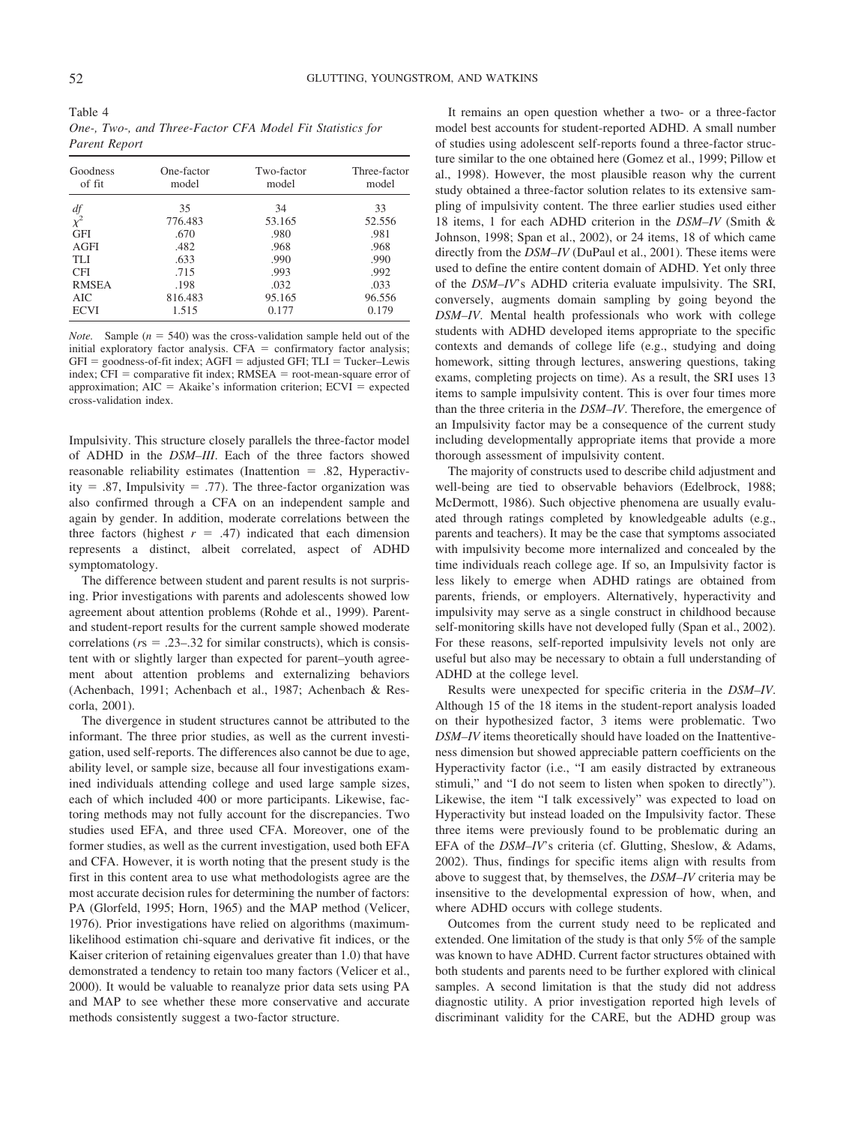Table 4 *One-, Two-, and Three-Factor CFA Model Fit Statistics for Parent Report*

| Goodness<br>of fit  | One-factor<br>model | Two-factor<br>model | Three-factor<br>model |  |  |
|---------------------|---------------------|---------------------|-----------------------|--|--|
|                     | 35                  | 34                  | 33                    |  |  |
| $\frac{df}{\chi^2}$ | 776.483             | 53.165              | 52.556                |  |  |
| <b>GFI</b>          | .670                | .980                | .981                  |  |  |
| <b>AGFI</b>         | .482                | .968                | .968                  |  |  |
| <b>TLI</b>          | .633                | .990                | .990                  |  |  |
| <b>CFI</b>          | .715                | .993                | .992                  |  |  |
| <b>RMSEA</b>        | .198                | .032                | .033                  |  |  |
| AIC                 | 816.483             | 95.165              | 96.556                |  |  |
| <b>ECVI</b>         | 1.515               | 0.177               | 0.179                 |  |  |

*Note.* Sample  $(n = 540)$  was the cross-validation sample held out of the initial exploratory factor analysis. CFA  $=$  confirmatory factor analysis;  $GFI = goodness-of-fit index$ ;  $AGFI = adjusted GFI$ ;  $TLI = Tucker-Lewis$ index;  $\overline{CFI}$  = comparative fit index;  $\overline{RMSEA}$  = root-mean-square error of approximation;  $AIC = Akaike's$  information criterion;  $ECVI = expected$ cross-validation index.

Impulsivity. This structure closely parallels the three-factor model of ADHD in the *DSM–III*. Each of the three factors showed reasonable reliability estimates (Inattention  $= .82$ , Hyperactivity  $= .87$ , Impulsivity  $= .77$ ). The three-factor organization was also confirmed through a CFA on an independent sample and again by gender. In addition, moderate correlations between the three factors (highest  $r = .47$ ) indicated that each dimension represents a distinct, albeit correlated, aspect of ADHD symptomatology.

The difference between student and parent results is not surprising. Prior investigations with parents and adolescents showed low agreement about attention problems (Rohde et al., 1999). Parentand student-report results for the current sample showed moderate correlations ( $rs = .23-.32$  for similar constructs), which is consistent with or slightly larger than expected for parent–youth agreement about attention problems and externalizing behaviors (Achenbach, 1991; Achenbach et al., 1987; Achenbach & Rescorla, 2001).

The divergence in student structures cannot be attributed to the informant. The three prior studies, as well as the current investigation, used self-reports. The differences also cannot be due to age, ability level, or sample size, because all four investigations examined individuals attending college and used large sample sizes, each of which included 400 or more participants. Likewise, factoring methods may not fully account for the discrepancies. Two studies used EFA, and three used CFA. Moreover, one of the former studies, as well as the current investigation, used both EFA and CFA. However, it is worth noting that the present study is the first in this content area to use what methodologists agree are the most accurate decision rules for determining the number of factors: PA (Glorfeld, 1995; Horn, 1965) and the MAP method (Velicer, 1976). Prior investigations have relied on algorithms (maximumlikelihood estimation chi-square and derivative fit indices, or the Kaiser criterion of retaining eigenvalues greater than 1.0) that have demonstrated a tendency to retain too many factors (Velicer et al., 2000). It would be valuable to reanalyze prior data sets using PA and MAP to see whether these more conservative and accurate methods consistently suggest a two-factor structure.

It remains an open question whether a two- or a three-factor model best accounts for student-reported ADHD. A small number of studies using adolescent self-reports found a three-factor structure similar to the one obtained here (Gomez et al., 1999; Pillow et al., 1998). However, the most plausible reason why the current study obtained a three-factor solution relates to its extensive sampling of impulsivity content. The three earlier studies used either 18 items, 1 for each ADHD criterion in the *DSM–IV* (Smith & Johnson, 1998; Span et al., 2002), or 24 items, 18 of which came directly from the *DSM–IV* (DuPaul et al., 2001). These items were used to define the entire content domain of ADHD. Yet only three of the *DSM–IV*'s ADHD criteria evaluate impulsivity. The SRI, conversely, augments domain sampling by going beyond the *DSM–IV*. Mental health professionals who work with college students with ADHD developed items appropriate to the specific contexts and demands of college life (e.g., studying and doing homework, sitting through lectures, answering questions, taking exams, completing projects on time). As a result, the SRI uses 13 items to sample impulsivity content. This is over four times more than the three criteria in the *DSM–IV*. Therefore, the emergence of an Impulsivity factor may be a consequence of the current study including developmentally appropriate items that provide a more thorough assessment of impulsivity content.

The majority of constructs used to describe child adjustment and well-being are tied to observable behaviors (Edelbrock, 1988; McDermott, 1986). Such objective phenomena are usually evaluated through ratings completed by knowledgeable adults (e.g., parents and teachers). It may be the case that symptoms associated with impulsivity become more internalized and concealed by the time individuals reach college age. If so, an Impulsivity factor is less likely to emerge when ADHD ratings are obtained from parents, friends, or employers. Alternatively, hyperactivity and impulsivity may serve as a single construct in childhood because self-monitoring skills have not developed fully (Span et al., 2002). For these reasons, self-reported impulsivity levels not only are useful but also may be necessary to obtain a full understanding of ADHD at the college level.

Results were unexpected for specific criteria in the *DSM–IV*. Although 15 of the 18 items in the student-report analysis loaded on their hypothesized factor, 3 items were problematic. Two *DSM–IV* items theoretically should have loaded on the Inattentiveness dimension but showed appreciable pattern coefficients on the Hyperactivity factor (i.e., "I am easily distracted by extraneous stimuli," and "I do not seem to listen when spoken to directly"). Likewise, the item "I talk excessively" was expected to load on Hyperactivity but instead loaded on the Impulsivity factor. These three items were previously found to be problematic during an EFA of the *DSM–IV*'s criteria (cf. Glutting, Sheslow, & Adams, 2002). Thus, findings for specific items align with results from above to suggest that, by themselves, the *DSM–IV* criteria may be insensitive to the developmental expression of how, when, and where ADHD occurs with college students.

Outcomes from the current study need to be replicated and extended. One limitation of the study is that only 5% of the sample was known to have ADHD. Current factor structures obtained with both students and parents need to be further explored with clinical samples. A second limitation is that the study did not address diagnostic utility. A prior investigation reported high levels of discriminant validity for the CARE, but the ADHD group was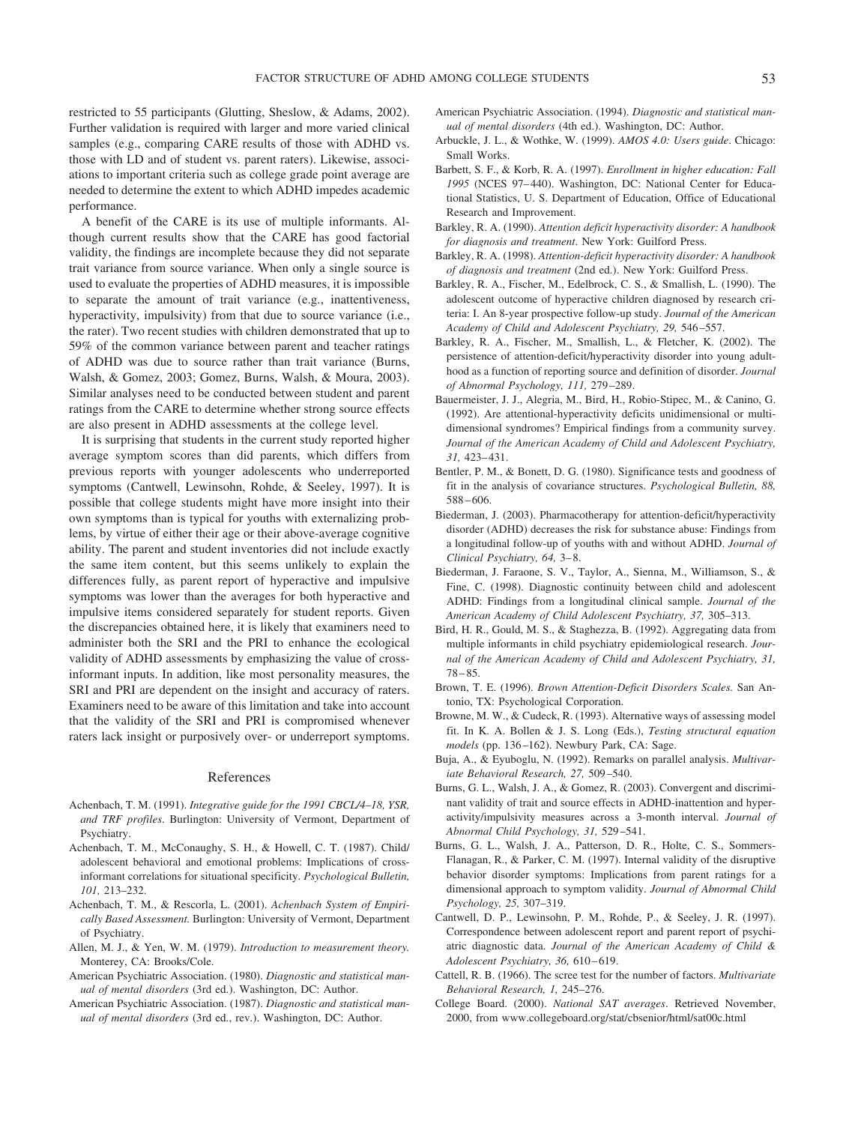restricted to 55 participants (Glutting, Sheslow, & Adams, 2002). Further validation is required with larger and more varied clinical samples (e.g., comparing CARE results of those with ADHD vs. those with LD and of student vs. parent raters). Likewise, associations to important criteria such as college grade point average are needed to determine the extent to which ADHD impedes academic performance.

A benefit of the CARE is its use of multiple informants. Although current results show that the CARE has good factorial validity, the findings are incomplete because they did not separate trait variance from source variance. When only a single source is used to evaluate the properties of ADHD measures, it is impossible to separate the amount of trait variance (e.g., inattentiveness, hyperactivity, impulsivity) from that due to source variance (i.e., the rater). Two recent studies with children demonstrated that up to 59% of the common variance between parent and teacher ratings of ADHD was due to source rather than trait variance (Burns, Walsh, & Gomez, 2003; Gomez, Burns, Walsh, & Moura, 2003). Similar analyses need to be conducted between student and parent ratings from the CARE to determine whether strong source effects are also present in ADHD assessments at the college level.

It is surprising that students in the current study reported higher average symptom scores than did parents, which differs from previous reports with younger adolescents who underreported symptoms (Cantwell, Lewinsohn, Rohde, & Seeley, 1997). It is possible that college students might have more insight into their own symptoms than is typical for youths with externalizing problems, by virtue of either their age or their above-average cognitive ability. The parent and student inventories did not include exactly the same item content, but this seems unlikely to explain the differences fully, as parent report of hyperactive and impulsive symptoms was lower than the averages for both hyperactive and impulsive items considered separately for student reports. Given the discrepancies obtained here, it is likely that examiners need to administer both the SRI and the PRI to enhance the ecological validity of ADHD assessments by emphasizing the value of crossinformant inputs. In addition, like most personality measures, the SRI and PRI are dependent on the insight and accuracy of raters. Examiners need to be aware of this limitation and take into account that the validity of the SRI and PRI is compromised whenever raters lack insight or purposively over- or underreport symptoms.

#### References

- Achenbach, T. M. (1991). *Integrative guide for the 1991 CBCL/4*–*18, YSR, and TRF profiles*. Burlington: University of Vermont, Department of Psychiatry.
- Achenbach, T. M., McConaughy, S. H., & Howell, C. T. (1987). Child/ adolescent behavioral and emotional problems: Implications of crossinformant correlations for situational specificity. *Psychological Bulletin, 101,* 213–232.
- Achenbach, T. M., & Rescorla, L. (2001). *Achenbach System of Empirically Based Assessment.* Burlington: University of Vermont, Department of Psychiatry.
- Allen, M. J., & Yen, W. M. (1979). *Introduction to measurement theory.* Monterey, CA: Brooks/Cole.
- American Psychiatric Association. (1980). *Diagnostic and statistical manual of mental disorders* (3rd ed.). Washington, DC: Author.
- American Psychiatric Association. (1987). *Diagnostic and statistical manual of mental disorders* (3rd ed., rev.). Washington, DC: Author.
- American Psychiatric Association. (1994). *Diagnostic and statistical manual of mental disorders* (4th ed.). Washington, DC: Author.
- Arbuckle, J. L., & Wothke, W. (1999). *AMOS 4.0: Users guide*. Chicago: Small Works.
- Barbett, S. F., & Korb, R. A. (1997). *Enrollment in higher education: Fall* 1995 (NCES 97-440). Washington, DC: National Center for Educational Statistics, U. S. Department of Education, Office of Educational Research and Improvement.
- Barkley, R. A. (1990). *Attention deficit hyperactivity disorder: A handbook for diagnosis and treatment*. New York: Guilford Press.
- Barkley, R. A. (1998). *Attention-deficit hyperactivity disorder: A handbook of diagnosis and treatment* (2nd ed.). New York: Guilford Press.
- Barkley, R. A., Fischer, M., Edelbrock, C. S., & Smallish, L. (1990). The adolescent outcome of hyperactive children diagnosed by research criteria: I. An 8-year prospective follow-up study. *Journal of the American Academy of Child and Adolescent Psychiatry, 29,* 546 –557.
- Barkley, R. A., Fischer, M., Smallish, L., & Fletcher, K. (2002). The persistence of attention-deficit/hyperactivity disorder into young adulthood as a function of reporting source and definition of disorder. *Journal of Abnormal Psychology, 111,* 279 –289.
- Bauermeister, J. J., Alegria, M., Bird, H., Robio-Stipec, M., & Canino, G. (1992). Are attentional-hyperactivity deficits unidimensional or multidimensional syndromes? Empirical findings from a community survey. *Journal of the American Academy of Child and Adolescent Psychiatry, 31,* 423– 431.
- Bentler, P. M., & Bonett, D. G. (1980). Significance tests and goodness of fit in the analysis of covariance structures. *Psychological Bulletin, 88,* 588 – 606.
- Biederman, J. (2003). Pharmacotherapy for attention-deficit/hyperactivity disorder (ADHD) decreases the risk for substance abuse: Findings from a longitudinal follow-up of youths with and without ADHD. *Journal of Clinical Psychiatry, 64,* 3– 8.
- Biederman, J. Faraone, S. V., Taylor, A., Sienna, M., Williamson, S., & Fine, C. (1998). Diagnostic continuity between child and adolescent ADHD: Findings from a longitudinal clinical sample. *Journal of the American Academy of Child Adolescent Psychiatry, 37,* 305–313.
- Bird, H. R., Gould, M. S., & Staghezza, B. (1992). Aggregating data from multiple informants in child psychiatry epidemiological research. *Journal of the American Academy of Child and Adolescent Psychiatry, 31,*  $78 - 85.$
- Brown, T. E. (1996). *Brown Attention-Deficit Disorders Scales.* San Antonio, TX: Psychological Corporation.
- Browne, M. W., & Cudeck, R. (1993). Alternative ways of assessing model fit. In K. A. Bollen & J. S. Long (Eds.), *Testing structural equation models* (pp. 136 –162). Newbury Park, CA: Sage.
- Buja, A., & Eyuboglu, N. (1992). Remarks on parallel analysis. *Multivariate Behavioral Research, 27,* 509 –540.
- Burns, G. L., Walsh, J. A., & Gomez, R. (2003). Convergent and discriminant validity of trait and source effects in ADHD-inattention and hyperactivity/impulsivity measures across a 3-month interval. *Journal of Abnormal Child Psychology, 31,* 529 –541.
- Burns, G. L., Walsh, J. A., Patterson, D. R., Holte, C. S., Sommers-Flanagan, R., & Parker, C. M. (1997). Internal validity of the disruptive behavior disorder symptoms: Implications from parent ratings for a dimensional approach to symptom validity. *Journal of Abnormal Child Psychology, 25,* 307–319.
- Cantwell, D. P., Lewinsohn, P. M., Rohde, P., & Seeley, J. R. (1997). Correspondence between adolescent report and parent report of psychiatric diagnostic data. *Journal of the American Academy of Child & Adolescent Psychiatry, 36,* 610 – 619.
- Cattell, R. B. (1966). The scree test for the number of factors. *Multivariate Behavioral Research, 1,* 245–276.
- College Board. (2000). *National SAT averages*. Retrieved November, 2000, from www.collegeboard.org/stat/cbsenior/html/sat00c.html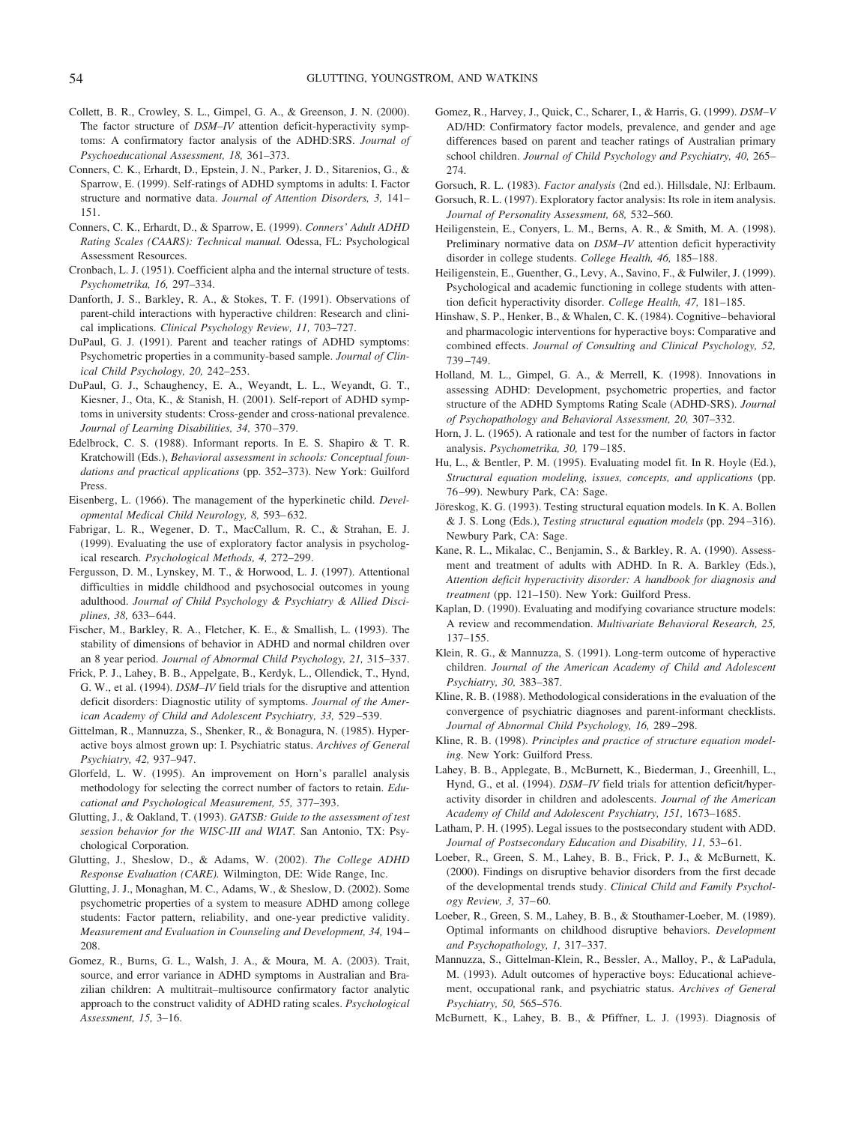- Collett, B. R., Crowley, S. L., Gimpel, G. A., & Greenson, J. N. (2000). The factor structure of *DSM–IV* attention deficit-hyperactivity symptoms: A confirmatory factor analysis of the ADHD:SRS. *Journal of Psychoeducational Assessment, 18,* 361–373.
- Conners, C. K., Erhardt, D., Epstein, J. N., Parker, J. D., Sitarenios, G., & Sparrow, E. (1999). Self-ratings of ADHD symptoms in adults: I. Factor structure and normative data. *Journal of Attention Disorders, 3,* 141– 151.
- Conners, C. K., Erhardt, D., & Sparrow, E. (1999). *Conners' Adult ADHD Rating Scales (CAARS): Technical manual.* Odessa, FL: Psychological Assessment Resources.
- Cronbach, L. J. (1951). Coefficient alpha and the internal structure of tests. *Psychometrika, 16,* 297–334.
- Danforth, J. S., Barkley, R. A., & Stokes, T. F. (1991). Observations of parent-child interactions with hyperactive children: Research and clinical implications. *Clinical Psychology Review, 11,* 703–727.
- DuPaul, G. J. (1991). Parent and teacher ratings of ADHD symptoms: Psychometric properties in a community-based sample. *Journal of Clinical Child Psychology, 20,* 242–253.
- DuPaul, G. J., Schaughency, E. A., Weyandt, L. L., Weyandt, G. T., Kiesner, J., Ota, K., & Stanish, H. (2001). Self-report of ADHD symptoms in university students: Cross-gender and cross-national prevalence. *Journal of Learning Disabilities, 34,* 370 –379.
- Edelbrock, C. S. (1988). Informant reports. In E. S. Shapiro & T. R. Kratchowill (Eds.), *Behavioral assessment in schools: Conceptual foundations and practical applications* (pp. 352–373). New York: Guilford Press.
- Eisenberg, L. (1966). The management of the hyperkinetic child. *Developmental Medical Child Neurology, 8,* 593– 632.
- Fabrigar, L. R., Wegener, D. T., MacCallum, R. C., & Strahan, E. J. (1999). Evaluating the use of exploratory factor analysis in psychological research. *Psychological Methods, 4,* 272–299.
- Fergusson, D. M., Lynskey, M. T., & Horwood, L. J. (1997). Attentional difficulties in middle childhood and psychosocial outcomes in young adulthood. *Journal of Child Psychology & Psychiatry & Allied Disciplines, 38,* 633– 644.
- Fischer, M., Barkley, R. A., Fletcher, K. E., & Smallish, L. (1993). The stability of dimensions of behavior in ADHD and normal children over an 8 year period. *Journal of Abnormal Child Psychology, 21,* 315–337.
- Frick, P. J., Lahey, B. B., Appelgate, B., Kerdyk, L., Ollendick, T., Hynd, G. W., et al. (1994). *DSM–IV* field trials for the disruptive and attention deficit disorders: Diagnostic utility of symptoms. *Journal of the American Academy of Child and Adolescent Psychiatry, 33,* 529 –539.
- Gittelman, R., Mannuzza, S., Shenker, R., & Bonagura, N. (1985). Hyperactive boys almost grown up: I. Psychiatric status. *Archives of General Psychiatry, 42,* 937–947.
- Glorfeld, L. W. (1995). An improvement on Horn's parallel analysis methodology for selecting the correct number of factors to retain. *Educational and Psychological Measurement, 55,* 377–393.
- Glutting, J., & Oakland, T. (1993). *GATSB: Guide to the assessment of test session behavior for the WISC-III and WIAT.* San Antonio, TX: Psychological Corporation.
- Glutting, J., Sheslow, D., & Adams, W. (2002). *The College ADHD Response Evaluation (CARE).* Wilmington, DE: Wide Range, Inc.
- Glutting, J. J., Monaghan, M. C., Adams, W., & Sheslow, D. (2002). Some psychometric properties of a system to measure ADHD among college students: Factor pattern, reliability, and one-year predictive validity. *Measurement and Evaluation in Counseling and Development, 34,* 194 – 208.
- Gomez, R., Burns, G. L., Walsh, J. A., & Moura, M. A. (2003). Trait, source, and error variance in ADHD symptoms in Australian and Brazilian children: A multitrait–multisource confirmatory factor analytic approach to the construct validity of ADHD rating scales. *Psychological Assessment, 15,* 3–16.
- Gomez, R., Harvey, J., Quick, C., Scharer, I., & Harris, G. (1999). *DSM–V* AD/HD: Confirmatory factor models, prevalence, and gender and age differences based on parent and teacher ratings of Australian primary school children. *Journal of Child Psychology and Psychiatry, 40,* 265– 274.
- Gorsuch, R. L. (1983). *Factor analysis* (2nd ed.). Hillsdale, NJ: Erlbaum.
- Gorsuch, R. L. (1997). Exploratory factor analysis: Its role in item analysis. *Journal of Personality Assessment, 68,* 532–560.
- Heiligenstein, E., Conyers, L. M., Berns, A. R., & Smith, M. A. (1998). Preliminary normative data on *DSM–IV* attention deficit hyperactivity disorder in college students. *College Health, 46,* 185–188.
- Heiligenstein, E., Guenther, G., Levy, A., Savino, F., & Fulwiler, J. (1999). Psychological and academic functioning in college students with attention deficit hyperactivity disorder. *College Health, 47,* 181–185.
- Hinshaw, S. P., Henker, B., & Whalen, C. K. (1984). Cognitive– behavioral and pharmacologic interventions for hyperactive boys: Comparative and combined effects. *Journal of Consulting and Clinical Psychology, 52,* 739 –749.
- Holland, M. L., Gimpel, G. A., & Merrell, K. (1998). Innovations in assessing ADHD: Development, psychometric properties, and factor structure of the ADHD Symptoms Rating Scale (ADHD-SRS). *Journal of Psychopathology and Behavioral Assessment, 20,* 307–332.
- Horn, J. L. (1965). A rationale and test for the number of factors in factor analysis. *Psychometrika, 30,* 179 –185.
- Hu, L., & Bentler, P. M. (1995). Evaluating model fit. In R. Hoyle (Ed.), *Structural equation modeling, issues, concepts, and applications* (pp. 76 –99). Newbury Park, CA: Sage.
- Jöreskog, K. G. (1993). Testing structural equation models. In K. A. Bollen & J. S. Long (Eds.), *Testing structural equation models* (pp. 294 –316). Newbury Park, CA: Sage.
- Kane, R. L., Mikalac, C., Benjamin, S., & Barkley, R. A. (1990). Assessment and treatment of adults with ADHD. In R. A. Barkley (Eds.), *Attention deficit hyperactivity disorder: A handbook for diagnosis and treatment* (pp. 121–150). New York: Guilford Press.
- Kaplan, D. (1990). Evaluating and modifying covariance structure models: A review and recommendation. *Multivariate Behavioral Research, 25,* 137–155.
- Klein, R. G., & Mannuzza, S. (1991). Long-term outcome of hyperactive children. *Journal of the American Academy of Child and Adolescent Psychiatry, 30,* 383–387.
- Kline, R. B. (1988). Methodological considerations in the evaluation of the convergence of psychiatric diagnoses and parent-informant checklists. *Journal of Abnormal Child Psychology, 16,* 289 –298.
- Kline, R. B. (1998). *Principles and practice of structure equation modeling.* New York: Guilford Press.
- Lahey, B. B., Applegate, B., McBurnett, K., Biederman, J., Greenhill, L., Hynd, G., et al. (1994). *DSM-IV* field trials for attention deficit/hyperactivity disorder in children and adolescents. *Journal of the American Academy of Child and Adolescent Psychiatry, 151,* 1673–1685.
- Latham, P. H. (1995). Legal issues to the postsecondary student with ADD. Journal of Postsecondary Education and Disability, 11, 53-61.
- Loeber, R., Green, S. M., Lahey, B. B., Frick, P. J., & McBurnett, K. (2000). Findings on disruptive behavior disorders from the first decade of the developmental trends study. *Clinical Child and Family Psychology Review, 3,* 37– 60.
- Loeber, R., Green, S. M., Lahey, B. B., & Stouthamer-Loeber, M. (1989). Optimal informants on childhood disruptive behaviors. *Development and Psychopathology, 1,* 317–337.
- Mannuzza, S., Gittelman-Klein, R., Bessler, A., Malloy, P., & LaPadula, M. (1993). Adult outcomes of hyperactive boys: Educational achievement, occupational rank, and psychiatric status. *Archives of General Psychiatry, 50,* 565–576.
- McBurnett, K., Lahey, B. B., & Pfiffner, L. J. (1993). Diagnosis of